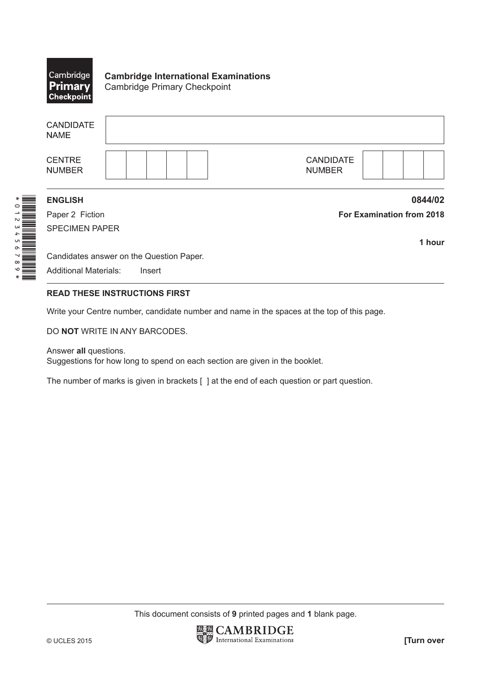|                                                                                                                     | Cambridge<br><b>Primary</b><br><b>Checkpoint</b> | <b>Cambridge International Examinations</b><br><b>Cambridge Primary Checkpoint</b> |                                   |                           |
|---------------------------------------------------------------------------------------------------------------------|--------------------------------------------------|------------------------------------------------------------------------------------|-----------------------------------|---------------------------|
|                                                                                                                     | <b>CANDIDATE</b><br><b>NAME</b>                  |                                                                                    |                                   |                           |
|                                                                                                                     | <b>CENTRE</b><br><b>NUMBER</b>                   |                                                                                    | <b>CANDIDATE</b><br><b>NUMBER</b> |                           |
|                                                                                                                     | <b>ENGLISH</b>                                   |                                                                                    |                                   | 0844/02                   |
|                                                                                                                     | Paper 2 Fiction                                  |                                                                                    |                                   | For Examination from 2018 |
| $\begin{array}{c}\n\overrightarrow{c} & \overrightarrow{c} \\ \overrightarrow{c} & \overrightarrow{d}\n\end{array}$ | <b>SPECIMEN PAPER</b>                            |                                                                                    |                                   |                           |
| U                                                                                                                   |                                                  |                                                                                    |                                   | 1 hour                    |
|                                                                                                                     |                                                  | Candidates answer on the Question Paper.                                           |                                   |                           |
|                                                                                                                     | <b>Additional Materials:</b>                     | Insert                                                                             |                                   |                           |

#### **READ THESE INSTRUCTIONS FIRST**

Write your Centre number, candidate number and name in the spaces at the top of this page.

DO **NOT** WRITE IN ANY BARCODES.

Answer **all** questions. Suggestions for how long to spend on each section are given in the booklet.

The number of marks is given in brackets [ ] at the end of each question or part question.

This document consists of **9** printed pages and **1** blank page.

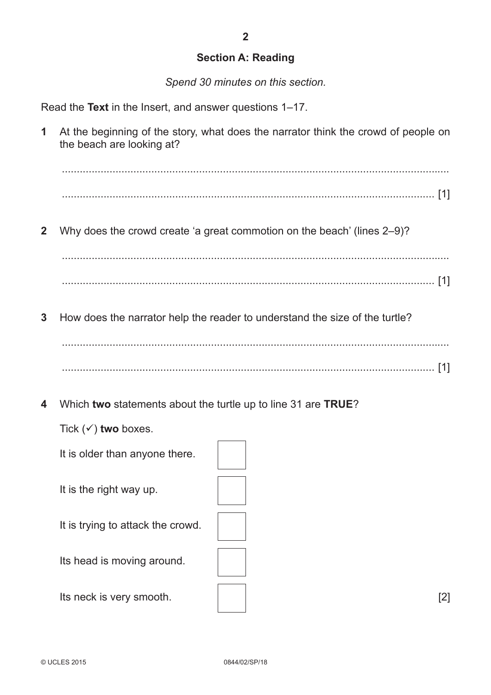### **Section A: Reading**

*Spend 30 minutes on this section.*

Read the **Text** in the Insert, and answer questions 1–17.

- **1** At the beginning of the story, what does the narrator think the crowd of people on the beach are looking at? ............................................................................................................................. [1] **2** Why does the crowd create 'a great commotion on the beach' (lines 2–9)? .................................................................................................................................. ............................................................................................................................. [1] **3** How does the narrator help the reader to understand the size of the turtle? .................................................................................................................................. ............................................................................................................................. [1]
- **4** Which **two** statements about the turtle up to line 31 are **TRUE**?

Tick (9) **two** boxes.

It is older than anyone there.

It is the right way up.

It is trying to attack the crowd.

Its head is moving around.

Its neck is very smooth. [2]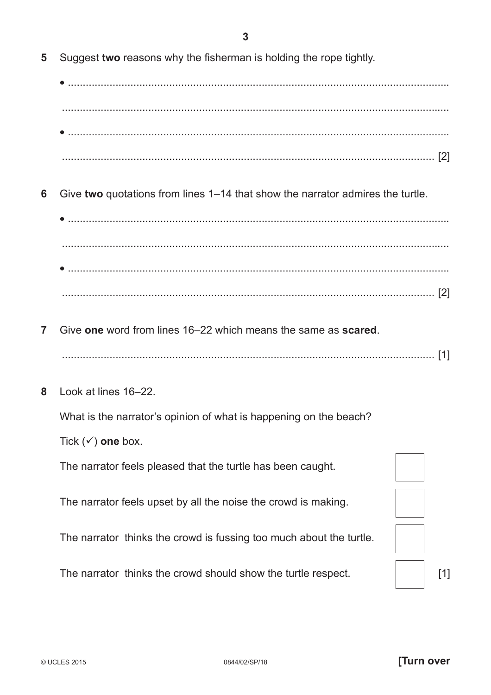- Suggest two reasons why the fisherman is holding the rope tightly. 5  $6\phantom{1}6$ Give two quotations from lines 1–14 that show the narrator admires the turtle.
	-

- $\overline{7}$ Give one word from lines 16–22 which means the same as scared.
- Look at lines 16-22. 8 What is the narrator's opinion of what is happening on the beach? Tick  $(\checkmark)$  one box. The narrator feels pleased that the turtle has been caught. The narrator feels upset by all the noise the crowd is making. The narrator thinks the crowd is fussing too much about the turtle.

The narrator thinks the crowd should show the turtle respect.

 $[1]$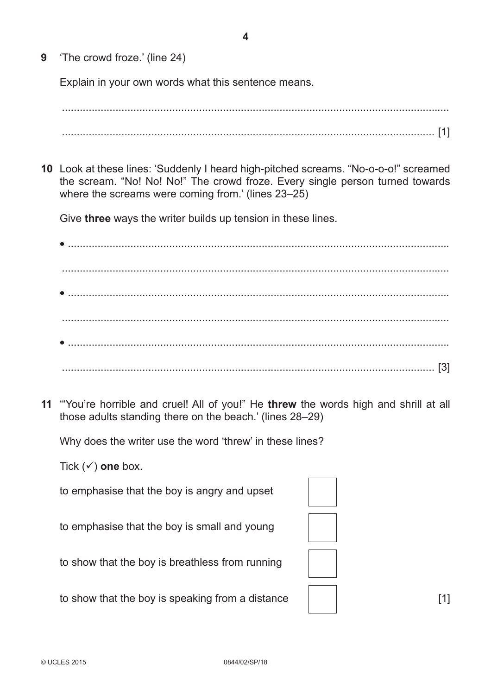**9** 'The crowd froze.' (line 24)

Explain in your own words what this sentence means.

 .................................................................................................................................. ............................................................................................................................. [1]

**10** Look at these lines: 'Suddenly I heard high-pitched screams. "No-o-o-o!" screamed the scream. "No! No! No!" The crowd froze. Every single person turned towards where the screams were coming from.' (lines 23–25)

Give **three** ways the writer builds up tension in these lines.

• ................................................................................................................................ • ................................................................................................................................ .................................................................................................................................. • ................................................................................................................................ ............................................................................................................................. [3]

**11** '"You're horrible and cruel! All of you!" He **threw** the words high and shrill at all those adults standing there on the beach.' (lines 28–29)

Why does the writer use the word 'threw' in these lines?

Tick (9) **one** box.

to emphasise that the boy is angry and upset

to emphasise that the boy is small and young

to show that the boy is breathless from running

to show that the boy is speaking from a distance  $\vert$  [1]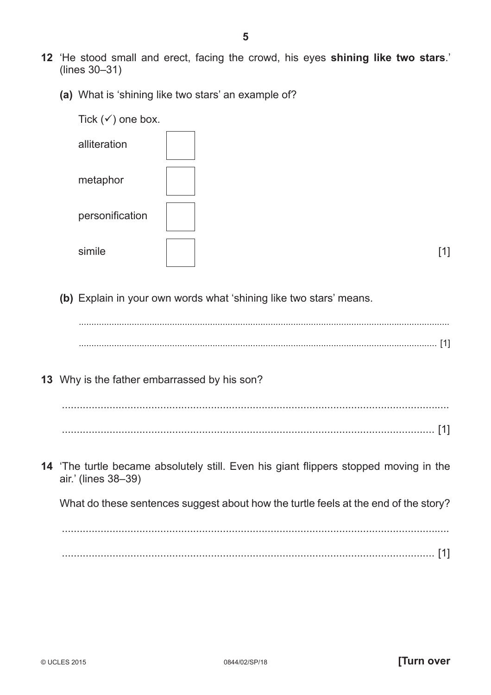**(a)** What is 'shining like two stars' an example of?

Tick  $($ ) one box.

| alliteration    |       |
|-----------------|-------|
| metaphor        |       |
| personification |       |
| simile          | $[1]$ |

 **(b)** Explain in your own words what 'shining like two stars' means.

 ................................................................................................................................................... .............................................................................................................................................. [1]

#### **13** Why is the father embarrassed by his son?

 .................................................................................................................................. ............................................................................................................................. [1]

**14** 'The turtle became absolutely still. Even his giant flippers stopped moving in the air.' (lines 38–39)

What do these sentences suggest about how the turtle feels at the end of the story?

 .................................................................................................................................. ............................................................................................................................. [1]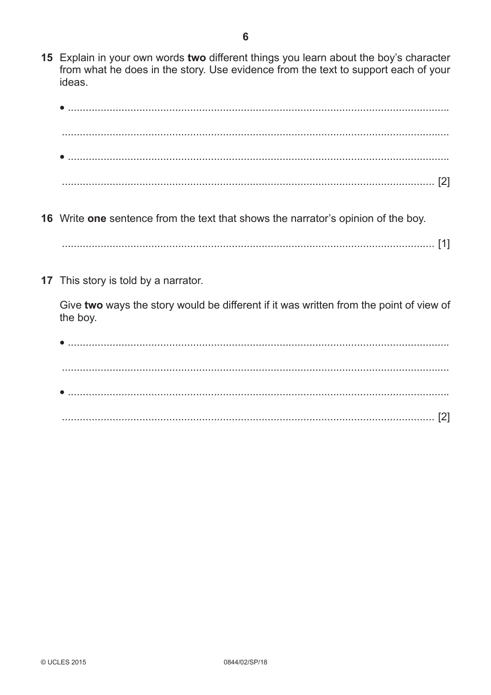15 Explain in your own words two different things you learn about the boy's character from what he does in the story. Use evidence from the text to support each of your ideas.

16 Write one sentence from the text that shows the narrator's opinion of the boy.

17 This story is told by a narrator.

Give two ways the story would be different if it was written from the point of view of the boy.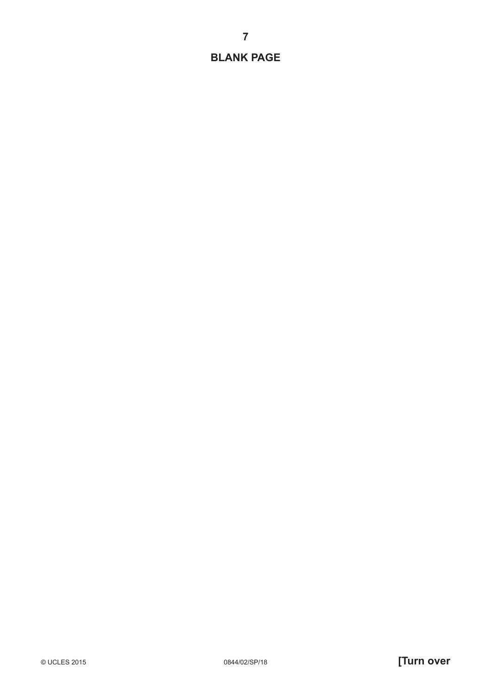## **BLANK PAGE**

**7**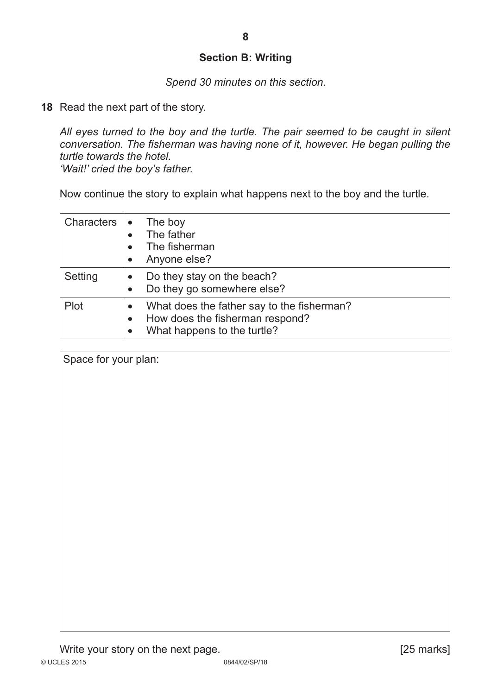# **Section B: Writing**

**8**

*Spend 30 minutes on this section.*

**18** Read the next part of the story.

*All eyes turned to the boy and the turtle. The pair seemed to be caught in silent conversation. The fisherman was having none of it, however. He began pulling the turtle towards the hotel. 'Wait!' cried the boy's father.*

Now continue the story to explain what happens next to the boy and the turtle.

| <b>Characters</b> | The boy<br>The father<br>The fisherman<br>Anyone else?                                                                                 |
|-------------------|----------------------------------------------------------------------------------------------------------------------------------------|
| Setting           | Do they stay on the beach?<br>$\bullet$<br>Do they go somewhere else?                                                                  |
| Plot              | What does the father say to the fisherman?<br>$\bullet$<br>How does the fisherman respond?<br>$\bullet$<br>What happens to the turtle? |

Space for your plan: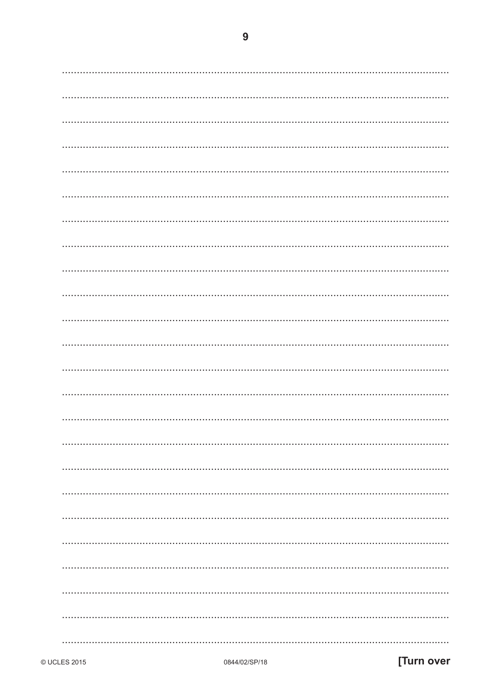$\overline{9}$